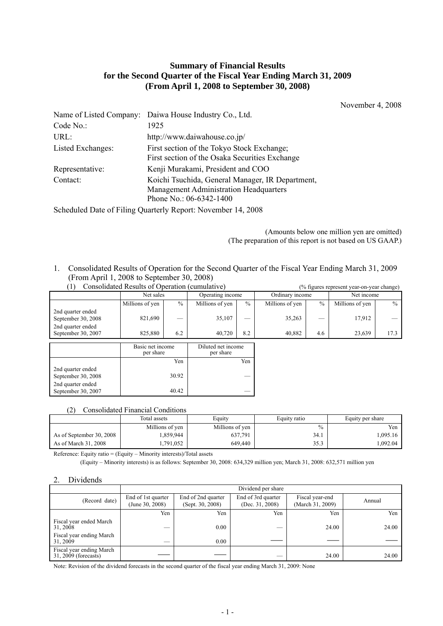# **Summary of Financial Results for the Second Quarter of the Fiscal Year Ending March 31, 2009 (From April 1, 2008 to September 30, 2008)**

November 4, 2008

|                   | Name of Listed Company: Daiwa House Industry Co., Ltd.                                                                |
|-------------------|-----------------------------------------------------------------------------------------------------------------------|
| Code No.:         | 1925                                                                                                                  |
| URL:              | http://www.daiwahouse.co.jp/                                                                                          |
| Listed Exchanges: | First section of the Tokyo Stock Exchange;<br>First section of the Osaka Securities Exchange                          |
| Representative:   | Kenji Murakami, President and COO                                                                                     |
| Contact:          | Koichi Tsuchida, General Manager, IR Department,<br>Management Administration Headquarters<br>Phone No.: 06-6342-1400 |

Scheduled Date of Filing Quarterly Report: November 14, 2008

 (Amounts below one million yen are omitted) (The preparation of this report is not based on US GAAP.)

1. Consolidated Results of Operation for the Second Quarter of the Fiscal Year Ending March 31, 2009 (From April 1, 2008 to September 30, 2008)  $(1)$  Consolidated Results of Operation (cumulative) (% figures represent year-on-year change)

| Consonuateu Resuns of Oberation (cumulative)                 |                 |               |                  |      |                 | o rigures represent year-on-year change) |                 |      |
|--------------------------------------------------------------|-----------------|---------------|------------------|------|-----------------|------------------------------------------|-----------------|------|
|                                                              | Net sales       |               | Operating income |      | Ordinary income |                                          | Net income      |      |
|                                                              | Millions of yen | $\frac{0}{0}$ | Millions of yen  | $\%$ | Millions of yen | $\frac{0}{0}$                            | Millions of yen | $\%$ |
| 2nd quarter ended<br>September 30, 2008<br>2nd quarter ended | 821,690         |               | 35,107           |      | 35,263          |                                          | 17,912          |      |
| September 30, 2007                                           | 825,880         | 6.2           | 40.720           | 8.2  | 40.882          | 4.6                                      | 23.639          | 17.3 |
|                                                              |                 |               |                  |      |                 |                                          |                 |      |

|                                         | Basic net income<br>per share | Diluted net income<br>per share |
|-----------------------------------------|-------------------------------|---------------------------------|
|                                         | Yen                           | Yen                             |
| 2nd quarter ended<br>September 30, 2008 | 30.92                         |                                 |
| 2nd quarter ended<br>September 30, 2007 | 40.42                         |                                 |

#### (2) Consolidated Financial Conditions

|                          | Total assets    | Equity          | Equity ratio  | Equity per share |
|--------------------------|-----------------|-----------------|---------------|------------------|
|                          | Millions of yen | Millions of yen | $\frac{0}{0}$ | Yen              |
| As of September 30, 2008 | .859,944        | 637,791         | 34.1          | 1.095.16         |
| As of March 31, 2008     | .791,052        | 649,440         | 35.3          | .092.04          |

Reference: Equity ratio = (Equity – Minority interests)/Total assets

(Equity – Minority interests) is as follows: September 30, 2008: 634,329 million yen; March 31, 2008: 632,571 million yen

### 2. Dividends

|                                                  | Dividend per share                    |                                        |                                       |                                     |        |  |  |  |
|--------------------------------------------------|---------------------------------------|----------------------------------------|---------------------------------------|-------------------------------------|--------|--|--|--|
| (Record date)                                    | End of 1st quarter<br>(June 30, 2008) | End of 2nd quarter<br>(Sept. 30, 2008) | End of 3rd quarter<br>(Dec. 31, 2008) | Fiscal year-end<br>(March 31, 2009) | Annual |  |  |  |
|                                                  | Yen                                   | Yen                                    | Yen                                   | Yen                                 | Yen    |  |  |  |
| Fiscal year ended March<br>31, 2008              | –                                     | 0.00                                   |                                       | 24.00                               | 24.00  |  |  |  |
| Fiscal year ending March<br>31.2009              |                                       | 0.00                                   |                                       |                                     |        |  |  |  |
| Fiscal year ending March<br>31, 2009 (forecasts) |                                       |                                        | __                                    | 24.00                               | 24.00  |  |  |  |

Note: Revision of the dividend forecasts in the second quarter of the fiscal year ending March 31, 2009: None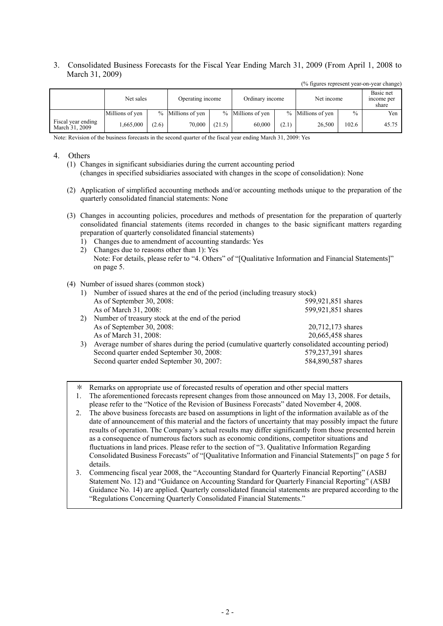3. Consolidated Business Forecasts for the Fiscal Year Ending March 31, 2009 (From April 1, 2008 to March 31, 2009)

|                                      | Net sales       |       | Operating income  |        | Ordinary income   |       | Net income        |               | Basic net<br>income per<br>share |
|--------------------------------------|-----------------|-------|-------------------|--------|-------------------|-------|-------------------|---------------|----------------------------------|
|                                      | Millions of yen |       | % Millions of yen |        | % Millions of yen |       | % Millions of yen | $\frac{0}{0}$ | Yen                              |
| Fiscal year ending<br>March 31, 2009 | .665,000        | (2.6) | 70.000            | (21.5) | 60.000            | (2.1) | 26,500            | 102.6         | 45.75                            |

(% figures represent year-on-year change)

Note: Revision of the business forecasts in the second quarter of the fiscal year ending March 31, 2009: Yes

#### 4. Others

- (1) Changes in significant subsidiaries during the current accounting period (changes in specified subsidiaries associated with changes in the scope of consolidation): None
- (2) Application of simplified accounting methods and/or accounting methods unique to the preparation of the quarterly consolidated financial statements: None
- (3) Changes in accounting policies, procedures and methods of presentation for the preparation of quarterly consolidated financial statements (items recorded in changes to the basic significant matters regarding preparation of quarterly consolidated financial statements)
	- 1) Changes due to amendment of accounting standards: Yes
	- 2) Changes due to reasons other than 1): Yes Note: For details, please refer to "4. Others" of "[Qualitative Information and Financial Statements]" on page 5.

#### (4) Number of issued shares (common stock)

| 1) | Number of issued shares at the end of the period (including treasury stock)                      |                    |
|----|--------------------------------------------------------------------------------------------------|--------------------|
|    | As of September 30, 2008:                                                                        | 599,921,851 shares |
|    | As of March 31, 2008:                                                                            | 599,921,851 shares |
| 2) | Number of treasury stock at the end of the period                                                |                    |
|    | As of September 30, 2008:                                                                        | 20,712,173 shares  |
|    | As of March 31, 2008:                                                                            | 20,665,458 shares  |
| 3) | Average number of shares during the period (cumulative quarterly consolidated accounting period) |                    |
|    | Second quarter ended September 30, 2008:                                                         | 579,237,391 shares |
|    | Second quarter ended September 30, 2007:                                                         | 584,890,587 shares |

Remarks on appropriate use of forecasted results of operation and other special matters

- 1. The aforementioned forecasts represent changes from those announced on May 13, 2008. For details, please refer to the "Notice of the Revision of Business Forecasts" dated November 4, 2008.
- 2. The above business forecasts are based on assumptions in light of the information available as of the date of announcement of this material and the factors of uncertainty that may possibly impact the future results of operation. The Company's actual results may differ significantly from those presented herein as a consequence of numerous factors such as economic conditions, competitor situations and fluctuations in land prices. Please refer to the section of "3. Qualitative Information Regarding Consolidated Business Forecasts" of "[Qualitative Information and Financial Statements]" on page 5 for details.
- 3. Commencing fiscal year 2008, the "Accounting Standard for Quarterly Financial Reporting" (ASBJ Statement No. 12) and "Guidance on Accounting Standard for Quarterly Financial Reporting" (ASBJ Guidance No. 14) are applied. Quarterly consolidated financial statements are prepared according to the "Regulations Concerning Quarterly Consolidated Financial Statements."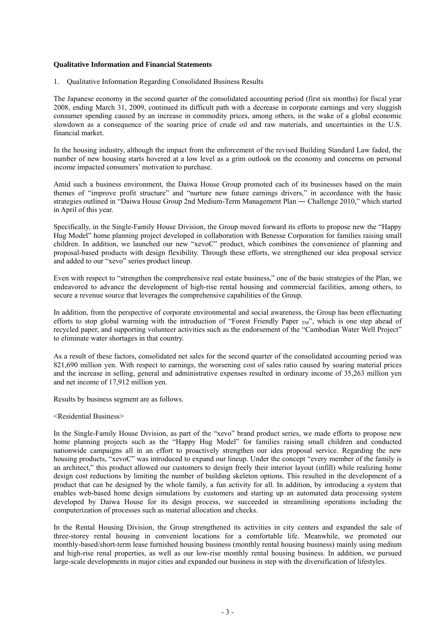#### **Qualitative Information and Financial Statements**

1. Qualitative Information Regarding Consolidated Business Results

The Japanese economy in the second quarter of the consolidated accounting period (first six months) for fiscal year 2008, ending March 31, 2009, continued its difficult path with a decrease in corporate earnings and very sluggish consumer spending caused by an increase in commodity prices, among others, in the wake of a global economic slowdown as a consequence of the soaring price of crude oil and raw materials, and uncertainties in the U.S. financial market.

In the housing industry, although the impact from the enforcement of the revised Building Standard Law faded, the number of new housing starts hovered at a low level as a grim outlook on the economy and concerns on personal income impacted consumers' motivation to purchase.

Amid such a business environment, the Daiwa House Group promoted each of its businesses based on the main themes of "improve profit structure" and "nurture new future earnings drivers," in accordance with the basic strategies outlined in "Daiwa House Group 2nd Medium-Term Management Plan ― Challenge 2010," which started in April of this year.

Specifically, in the Single-Family House Division, the Group moved forward its efforts to propose new the "Happy Hug Model" home planning project developed in collaboration with Benesse Corporation for families raising small children. In addition, we launched our new "xevoC" product, which combines the convenience of planning and proposal-based products with design flexibility. Through these efforts, we strengthened our idea proposal service and added to our "xevo" series product lineup.

Even with respect to "strengthen the comprehensive real estate business," one of the basic strategies of the Plan, we endeavored to advance the development of high-rise rental housing and commercial facilities, among others, to secure a revenue source that leverages the comprehensive capabilities of the Group.

In addition, from the perspective of corporate environmental and social awareness, the Group has been effectuating efforts to stop global warming with the introduction of "Forest Friendly Paper  $_{TM}$ ", which is one step ahead of recycled paper, and supporting volunteer activities such as the endorsement of the "Cambodian Water Well Project" to eliminate water shortages in that country.

As a result of these factors, consolidated net sales for the second quarter of the consolidated accounting period was 821,690 million yen. With respect to earnings, the worsening cost of sales ratio caused by soaring material prices and the increase in selling, general and administrative expenses resulted in ordinary income of 35,263 million yen and net income of 17,912 million yen.

Results by business segment are as follows.

<Residential Business>

In the Single-Family House Division, as part of the "xevo" brand product series, we made efforts to propose new home planning projects such as the "Happy Hug Model" for families raising small children and conducted nationwide campaigns all in an effort to proactively strengthen our idea proposal service. Regarding the new housing products, "xevoC" was introduced to expand our lineup. Under the concept "every member of the family is an architect," this product allowed our customers to design freely their interior layout (infill) while realizing home design cost reductions by limiting the number of building skeleton options. This resulted in the development of a product that can be designed by the whole family, a fun activity for all. In addition, by introducing a system that enables web-based home design simulations by customers and starting up an automated data processing system developed by Daiwa House for its design process, we succeeded in streamlining operations including the computerization of processes such as material allocation and checks.

In the Rental Housing Division, the Group strengthened its activities in city centers and expanded the sale of three-storey rental housing in convenient locations for a comfortable life. Meanwhile, we promoted our monthly-based/short-term lease furnished housing business (monthly rental housing business) mainly using medium and high-rise renal properties, as well as our low-rise monthly rental housing business. In addition, we pursued large-scale developments in major cities and expanded our business in step with the diversification of lifestyles.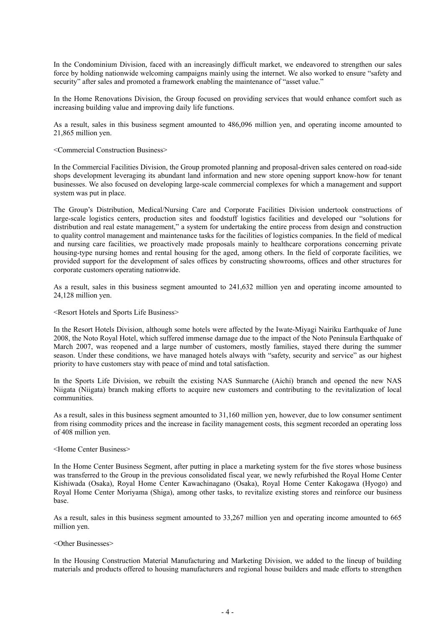In the Condominium Division, faced with an increasingly difficult market, we endeavored to strengthen our sales force by holding nationwide welcoming campaigns mainly using the internet. We also worked to ensure "safety and security" after sales and promoted a framework enabling the maintenance of "asset value."

In the Home Renovations Division, the Group focused on providing services that would enhance comfort such as increasing building value and improving daily life functions.

As a result, sales in this business segment amounted to 486,096 million yen, and operating income amounted to 21,865 million yen.

<Commercial Construction Business>

In the Commercial Facilities Division, the Group promoted planning and proposal-driven sales centered on road-side shops development leveraging its abundant land information and new store opening support know-how for tenant businesses. We also focused on developing large-scale commercial complexes for which a management and support system was put in place.

The Group's Distribution, Medical/Nursing Care and Corporate Facilities Division undertook constructions of large-scale logistics centers, production sites and foodstuff logistics facilities and developed our "solutions for distribution and real estate management," a system for undertaking the entire process from design and construction to quality control management and maintenance tasks for the facilities of logistics companies. In the field of medical and nursing care facilities, we proactively made proposals mainly to healthcare corporations concerning private housing-type nursing homes and rental housing for the aged, among others. In the field of corporate facilities, we provided support for the development of sales offices by constructing showrooms, offices and other structures for corporate customers operating nationwide.

As a result, sales in this business segment amounted to 241,632 million yen and operating income amounted to 24,128 million yen.

<Resort Hotels and Sports Life Business>

In the Resort Hotels Division, although some hotels were affected by the Iwate-Miyagi Nairiku Earthquake of June 2008, the Noto Royal Hotel, which suffered immense damage due to the impact of the Noto Peninsula Earthquake of March 2007, was reopened and a large number of customers, mostly families, stayed there during the summer season. Under these conditions, we have managed hotels always with "safety, security and service" as our highest priority to have customers stay with peace of mind and total satisfaction.

In the Sports Life Division, we rebuilt the existing NAS Sunmarche (Aichi) branch and opened the new NAS Niigata (Niigata) branch making efforts to acquire new customers and contributing to the revitalization of local communities.

As a result, sales in this business segment amounted to 31,160 million yen, however, due to low consumer sentiment from rising commodity prices and the increase in facility management costs, this segment recorded an operating loss of 408 million yen.

<Home Center Business>

In the Home Center Business Segment, after putting in place a marketing system for the five stores whose business was transferred to the Group in the previous consolidated fiscal year, we newly refurbished the Royal Home Center Kishiwada (Osaka), Royal Home Center Kawachinagano (Osaka), Royal Home Center Kakogawa (Hyogo) and Royal Home Center Moriyama (Shiga), among other tasks, to revitalize existing stores and reinforce our business base.

As a result, sales in this business segment amounted to 33,267 million yen and operating income amounted to 665 million yen.

#### <Other Businesses>

In the Housing Construction Material Manufacturing and Marketing Division, we added to the lineup of building materials and products offered to housing manufacturers and regional house builders and made efforts to strengthen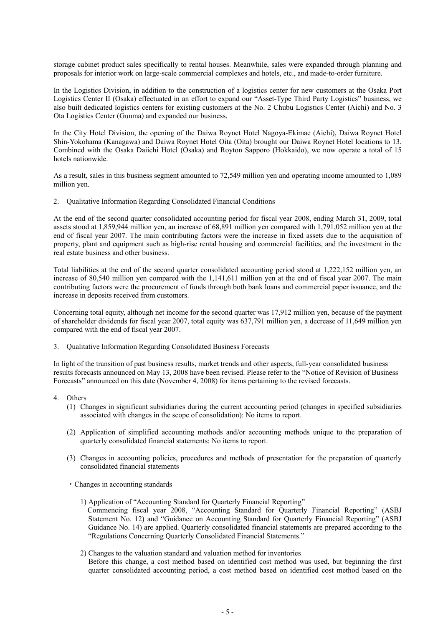storage cabinet product sales specifically to rental houses. Meanwhile, sales were expanded through planning and proposals for interior work on large-scale commercial complexes and hotels, etc., and made-to-order furniture.

In the Logistics Division, in addition to the construction of a logistics center for new customers at the Osaka Port Logistics Center II (Osaka) effectuated in an effort to expand our "Asset-Type Third Party Logistics" business, we also built dedicated logistics centers for existing customers at the No. 2 Chubu Logistics Center (Aichi) and No. 3 Ota Logistics Center (Gunma) and expanded our business.

In the City Hotel Division, the opening of the Daiwa Roynet Hotel Nagoya-Ekimae (Aichi), Daiwa Roynet Hotel Shin-Yokohama (Kanagawa) and Daiwa Roynet Hotel Oita (Oita) brought our Daiwa Roynet Hotel locations to 13. Combined with the Osaka Daiichi Hotel (Osaka) and Royton Sapporo (Hokkaido), we now operate a total of 15 hotels nationwide.

As a result, sales in this business segment amounted to 72,549 million yen and operating income amounted to 1,089 million yen.

2. Qualitative Information Regarding Consolidated Financial Conditions

At the end of the second quarter consolidated accounting period for fiscal year 2008, ending March 31, 2009, total assets stood at 1,859,944 million yen, an increase of 68,891 million yen compared with 1,791,052 million yen at the end of fiscal year 2007. The main contributing factors were the increase in fixed assets due to the acquisition of property, plant and equipment such as high-rise rental housing and commercial facilities, and the investment in the real estate business and other business.

Total liabilities at the end of the second quarter consolidated accounting period stood at 1,222,152 million yen, an increase of 80,540 million yen compared with the 1,141,611 million yen at the end of fiscal year 2007. The main contributing factors were the procurement of funds through both bank loans and commercial paper issuance, and the increase in deposits received from customers.

Concerning total equity, although net income for the second quarter was 17,912 million yen, because of the payment of shareholder dividends for fiscal year 2007, total equity was 637,791 million yen, a decrease of 11,649 million yen compared with the end of fiscal year 2007.

3. Qualitative Information Regarding Consolidated Business Forecasts

In light of the transition of past business results, market trends and other aspects, full-year consolidated business results forecasts announced on May 13, 2008 have been revised. Please refer to the "Notice of Revision of Business Forecasts" announced on this date (November 4, 2008) for items pertaining to the revised forecasts.

- 4. Others
	- (1) Changes in significant subsidiaries during the current accounting period (changes in specified subsidiaries associated with changes in the scope of consolidation): No items to report.
	- (2) Application of simplified accounting methods and/or accounting methods unique to the preparation of quarterly consolidated financial statements: No items to report.
	- (3) Changes in accounting policies, procedures and methods of presentation for the preparation of quarterly consolidated financial statements
	- ・Changes in accounting standards
		- 1) Application of "Accounting Standard for Quarterly Financial Reporting" Commencing fiscal year 2008, "Accounting Standard for Quarterly Financial Reporting" (ASBJ Statement No. 12) and "Guidance on Accounting Standard for Quarterly Financial Reporting" (ASBJ Guidance No. 14) are applied. Quarterly consolidated financial statements are prepared according to the "Regulations Concerning Quarterly Consolidated Financial Statements."
		- 2) Changes to the valuation standard and valuation method for inventories Before this change, a cost method based on identified cost method was used, but beginning the first quarter consolidated accounting period, a cost method based on identified cost method based on the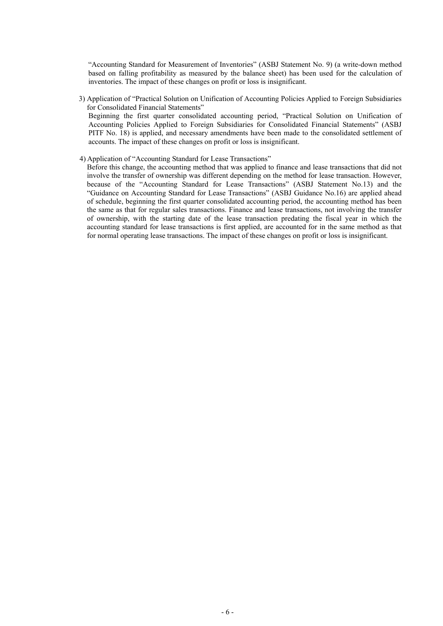"Accounting Standard for Measurement of Inventories" (ASBJ Statement No. 9) (a write-down method based on falling profitability as measured by the balance sheet) has been used for the calculation of inventories. The impact of these changes on profit or loss is insignificant.

- 3) Application of "Practical Solution on Unification of Accounting Policies Applied to Foreign Subsidiaries for Consolidated Financial Statements" Beginning the first quarter consolidated accounting period, "Practical Solution on Unification of Accounting Policies Applied to Foreign Subsidiaries for Consolidated Financial Statements" (ASBJ PITF No. 18) is applied, and necessary amendments have been made to the consolidated settlement of accounts. The impact of these changes on profit or loss is insignificant.
- 4) Application of "Accounting Standard for Lease Transactions"

Before this change, the accounting method that was applied to finance and lease transactions that did not involve the transfer of ownership was different depending on the method for lease transaction. However, because of the "Accounting Standard for Lease Transactions" (ASBJ Statement No.13) and the "Guidance on Accounting Standard for Lease Transactions" (ASBJ Guidance No.16) are applied ahead of schedule, beginning the first quarter consolidated accounting period, the accounting method has been the same as that for regular sales transactions. Finance and lease transactions, not involving the transfer of ownership, with the starting date of the lease transaction predating the fiscal year in which the accounting standard for lease transactions is first applied, are accounted for in the same method as that for normal operating lease transactions. The impact of these changes on profit or loss is insignificant.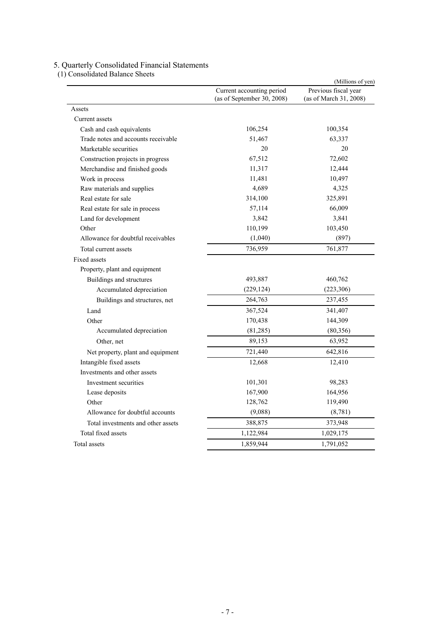#### 5. Quarterly Consolidated Financial Statements

|                                     | Current accounting period<br>(as of September 30, 2008) | Previous fiscal year<br>(as of March 31, 2008) |
|-------------------------------------|---------------------------------------------------------|------------------------------------------------|
| Assets                              |                                                         |                                                |
| Current assets                      |                                                         |                                                |
| Cash and cash equivalents           | 106,254                                                 | 100,354                                        |
| Trade notes and accounts receivable | 51,467                                                  | 63,337                                         |
| Marketable securities               | 20                                                      | 20                                             |
| Construction projects in progress   | 67,512                                                  | 72,602                                         |
| Merchandise and finished goods      | 11,317                                                  | 12,444                                         |
| Work in process                     | 11,481                                                  | 10,497                                         |
| Raw materials and supplies          | 4,689                                                   | 4,325                                          |
| Real estate for sale                | 314,100                                                 | 325,891                                        |
| Real estate for sale in process     | 57,114                                                  | 66,009                                         |
| Land for development                | 3,842                                                   | 3,841                                          |
| Other                               | 110,199                                                 | 103,450                                        |
| Allowance for doubtful receivables  | (1,040)                                                 | (897)                                          |
| Total current assets                | 736,959                                                 | 761,877                                        |
| Fixed assets                        |                                                         |                                                |
| Property, plant and equipment       |                                                         |                                                |
| Buildings and structures            | 493,887                                                 | 460,762                                        |
| Accumulated depreciation            | (229, 124)                                              | (223, 306)                                     |
| Buildings and structures, net       | 264,763                                                 | 237,455                                        |
| Land                                | 367,524                                                 | 341,407                                        |
| Other                               | 170,438                                                 | 144,309                                        |
| Accumulated depreciation            | (81,285)                                                | (80,356)                                       |
| Other, net                          | 89,153                                                  | 63,952                                         |
| Net property, plant and equipment   | 721,440                                                 | 642,816                                        |
| Intangible fixed assets             | 12,668                                                  | 12,410                                         |
| Investments and other assets        |                                                         |                                                |
| Investment securities               | 101,301                                                 | 98,283                                         |
| Lease deposits                      | 167,900                                                 | 164,956                                        |
| Other                               | 128,762                                                 | 119,490                                        |
| Allowance for doubtful accounts     | (9,088)                                                 | (8, 781)                                       |
| Total investments and other assets  | 388,875                                                 | 373,948                                        |
| Total fixed assets                  | 1,122,984                                               | 1,029,175                                      |
| Total assets                        | 1,859,944                                               | 1,791,052                                      |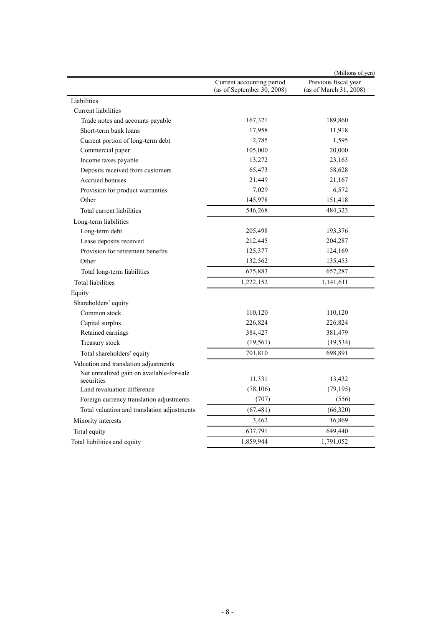|                                             |                                                         | (Millions of yen)                              |
|---------------------------------------------|---------------------------------------------------------|------------------------------------------------|
|                                             | Current accounting period<br>(as of September 30, 2008) | Previous fiscal year<br>(as of March 31, 2008) |
| Liabilities                                 |                                                         |                                                |
| Current liabilities                         |                                                         |                                                |
| Trade notes and accounts payable            | 167,321                                                 | 189,860                                        |
| Short-term bank loans                       | 17,958                                                  | 11,918                                         |
| Current portion of long-term debt           | 2,785                                                   | 1,595                                          |
| Commercial paper                            | 105,000                                                 | 20,000                                         |
| Income taxes payable                        | 13,272                                                  | 23,163                                         |
| Deposits received from customers            | 65,473                                                  | 58,628                                         |
| Accrued bonuses                             | 21,449                                                  | 21,167                                         |
| Provision for product warranties            | 7,029                                                   | 6,572                                          |
| Other                                       | 145,978                                                 | 151,418                                        |
| Total current liabilities                   | 546,268                                                 | 484,323                                        |
| Long-term liabilities                       |                                                         |                                                |
| Long-term debt                              | 205,498                                                 | 193,376                                        |
| Lease deposits received                     | 212,445                                                 | 204,287                                        |
| Provision for retirement benefits           | 125,377                                                 | 124,169                                        |
| Other                                       | 132,562                                                 | 135,453                                        |
| Total long-term liabilities                 | 675,883                                                 | 657,287                                        |
| <b>Total liabilities</b>                    | 1,222,152                                               | 1,141,611                                      |
| Equity                                      |                                                         |                                                |
| Shareholders' equity                        |                                                         |                                                |
| Common stock                                | 110,120                                                 | 110,120                                        |
| Capital surplus                             | 226,824                                                 | 226,824                                        |
| Retained earnings                           | 384,427                                                 | 381,479                                        |
| Treasury stock                              | (19, 561)                                               | (19, 534)                                      |
| Total shareholders' equity                  | 701,810                                                 | 698,891                                        |
| Valuation and translation adjustments       |                                                         |                                                |
| Net unrealized gain on available-for-sale   |                                                         |                                                |
| securities                                  | 11,331                                                  | 13,432                                         |
| Land revaluation difference                 | (78, 106)                                               | (79, 195)                                      |
| Foreign currency translation adjustments    | (707)                                                   | (556)                                          |
| Total valuation and translation adjustments | (67, 481)                                               | (66, 320)                                      |
| Minority interests                          | 3,462                                                   | 16,869                                         |
| Total equity                                | 637,791                                                 | 649,440                                        |
| Total liabilities and equity                | 1,859,944                                               | 1,791,052                                      |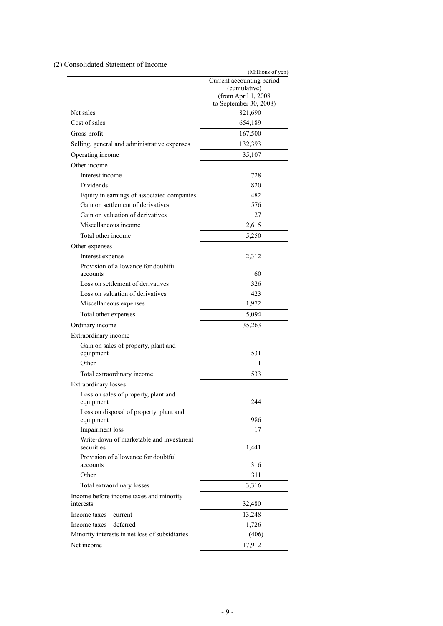## (2) Consolidated Statement of Income

|                                                            | (Millions of yen)                   |
|------------------------------------------------------------|-------------------------------------|
|                                                            | Current accounting period           |
|                                                            | (cumulative)<br>(from April 1, 2008 |
|                                                            | to September 30, 2008)              |
| Net sales                                                  | 821,690                             |
| Cost of sales                                              | 654,189                             |
| Gross profit                                               | 167,500                             |
| Selling, general and administrative expenses               | 132,393                             |
| Operating income                                           | 35,107                              |
| Other income                                               |                                     |
| Interest income                                            |                                     |
|                                                            | 728                                 |
| Dividends                                                  | 820                                 |
| Equity in earnings of associated companies                 | 482                                 |
| Gain on settlement of derivatives                          | 576                                 |
| Gain on valuation of derivatives                           | 27                                  |
| Miscellaneous income                                       | 2,615                               |
| Total other income                                         | 5,250                               |
| Other expenses                                             |                                     |
| Interest expense                                           | 2,312                               |
| Provision of allowance for doubtful                        |                                     |
| accounts                                                   | 60                                  |
| Loss on settlement of derivatives                          | 326                                 |
| Loss on valuation of derivatives                           | 423                                 |
| Miscellaneous expenses                                     | 1,972                               |
| Total other expenses                                       | 5,094                               |
| Ordinary income                                            | 35,263                              |
| Extraordinary income                                       |                                     |
| Gain on sales of property, plant and                       |                                     |
| equipment                                                  | 531                                 |
| Other                                                      | 1                                   |
| Total extraordinary income                                 | 533                                 |
| Extraordinary losses                                       |                                     |
| Loss on sales of property, plant and                       |                                     |
| equipment                                                  | 244                                 |
| Loss on disposal of property, plant and<br>equipment       | 986                                 |
|                                                            | 17                                  |
| Impairment loss<br>Write-down of marketable and investment |                                     |
| securities                                                 | 1,441                               |
| Provision of allowance for doubtful                        |                                     |
| accounts                                                   | 316                                 |
| Other                                                      | 311                                 |
| Total extraordinary losses                                 | 3,316                               |
| Income before income taxes and minority                    |                                     |
| interests                                                  | 32,480                              |
| Income taxes – current                                     | 13,248                              |
| Income taxes - deferred                                    | 1,726                               |
| Minority interests in net loss of subsidiaries             | (406)                               |
| Net income                                                 | 17,912                              |
|                                                            |                                     |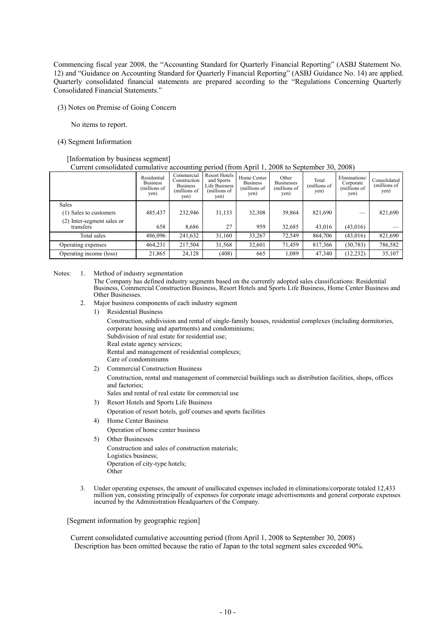Commencing fiscal year 2008, the "Accounting Standard for Quarterly Financial Reporting" (ASBJ Statement No. 12) and "Guidance on Accounting Standard for Quarterly Financial Reporting" (ASBJ Guidance No. 14) are applied. Quarterly consolidated financial statements are prepared according to the "Regulations Concerning Quarterly Consolidated Financial Statements."

(3) Notes on Premise of Going Concern

No items to report.

(4) Segment Information

#### [Information by business segment] Current consolidated cumulative accounting period (from April 1, 2008 to September 30, 2008)

|                                            | Residential<br><b>Business</b><br>(millions of<br>yen) | Commercial<br>Construction<br><b>Business</b><br>(millions of<br>yen) | <b>Resort Hotels</b><br>and Sports<br>Life Business<br>(millions of<br>yen) | Home Center<br><b>Business</b><br>(millions of<br>yen) | Other<br><b>Businesses</b><br>(millions of<br>yen) | Total<br>(millions of<br>yen) | Eliminations/<br>Corporate<br>(millions of<br>yen) | Consolidated<br>(millions of<br>yen) |
|--------------------------------------------|--------------------------------------------------------|-----------------------------------------------------------------------|-----------------------------------------------------------------------------|--------------------------------------------------------|----------------------------------------------------|-------------------------------|----------------------------------------------------|--------------------------------------|
| <b>Sales</b>                               |                                                        |                                                                       |                                                                             |                                                        |                                                    |                               |                                                    |                                      |
| (1) Sales to customers                     | 485,437                                                | 232,946                                                               | 31,133                                                                      | 32,308                                                 | 39,864                                             | 821,690                       |                                                    | 821,690                              |
| (2)<br>Inter-segment sales or<br>transfers | 658                                                    | 8.686                                                                 | 27                                                                          | 959                                                    | 32,685                                             | 43,016                        | (43,016)                                           |                                      |
| Total sales                                | 486,096                                                | 241,632                                                               | 31,160                                                                      | 33,267                                                 | 72,549                                             | 864,706                       | (43,016)                                           | 821,690                              |
| Operating expenses                         | 464,231                                                | 217,504                                                               | 31,568                                                                      | 32,601                                                 | 71,459                                             | 817,366                       | (30, 783)                                          | 786,582                              |
| Operating income (loss)                    | 21,865                                                 | 24,128                                                                | (408)                                                                       | 665                                                    | 1,089                                              | 47,340                        | (12, 232)                                          | 35,107                               |

Notes: 1. Method of industry segmentation

The Company has defined industry segments based on the currently adopted sales classifications: Residential Business, Commercial Construction Business, Resort Hotels and Sports Life Business, Home Center Business and Other Businesses.

- 2. Major business components of each industry segment
	- 1) Residential Business

Construction, subdivision and rental of single-family houses, residential complexes (including dormitories, corporate housing and apartments) and condominiums;

Subdivision of real estate for residential use; Real estate agency services;

Rental and management of residential complexes;

- Care of condominiums
- 2) Commercial Construction Business

Construction, rental and management of commercial buildings such as distribution facilities, shops, offices and factories;

Sales and rental of real estate for commercial use

- 3) Resort Hotels and Sports Life Business Operation of resort hotels, golf courses and sports facilities
- 4) Home Center Business
	- Operation of home center business
- 5) Other Businesses Construction and sales of construction materials; Logistics business; Operation of city-type hotels; Other
- 3. Under operating expenses, the amount of unallocated expenses included in eliminations/corporate totaled 12,433 million yen, consisting principally of expenses for corporate image advertisements and general corporate expenses incurred by the Administration Headquarters of the Company.

[Segment information by geographic region]

Current consolidated cumulative accounting period (from April 1, 2008 to September 30, 2008) Description has been omitted because the ratio of Japan to the total segment sales exceeded 90%.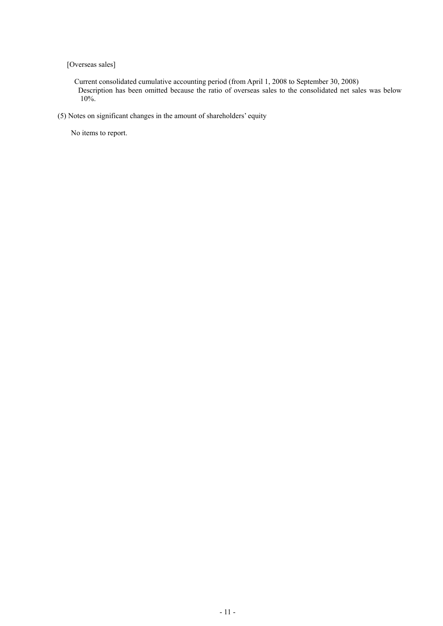[Overseas sales]

Current consolidated cumulative accounting period (from April 1, 2008 to September 30, 2008) Description has been omitted because the ratio of overseas sales to the consolidated net sales was below 10%.

(5) Notes on significant changes in the amount of shareholders' equity

No items to report.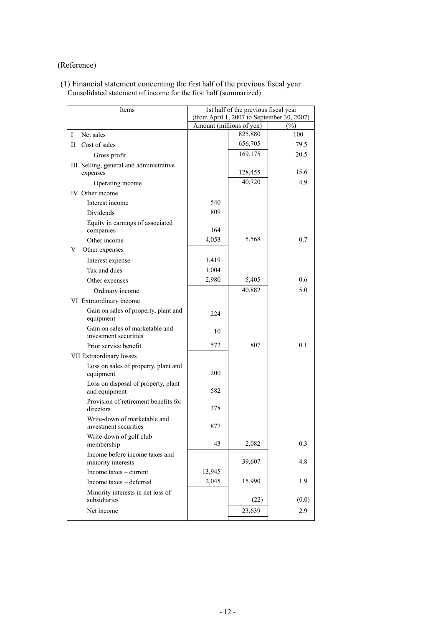# (Reference)

#### (1) Financial statement concerning the first half of the previous fiscal year Consolidated statement of income for the first half (summarized)

| Items                                                    |                          | 1st half of the previous fiscal year | (from April 1, 2007 to September 30, 2007) |
|----------------------------------------------------------|--------------------------|--------------------------------------|--------------------------------------------|
|                                                          | Amount (millions of yen) |                                      | $(\%)$                                     |
| Net sales<br>L                                           |                          | 825,880                              | 100                                        |
| Cost of sales<br>П                                       |                          | 656,705                              | 79.5                                       |
| Gross profit                                             |                          | 169,175                              | 20.5                                       |
| III Selling, general and administrative<br>expenses      |                          | 128,455                              | 15.6                                       |
| Operating income                                         |                          | 40,720                               | 4.9                                        |
| IV Other income                                          |                          |                                      |                                            |
| Interest income                                          | 540                      |                                      |                                            |
| Dividends                                                | 809                      |                                      |                                            |
| Equity in earnings of associated<br>companies            | 164                      |                                      |                                            |
| Other income                                             | 4,053                    | 5,568                                | 0.7                                        |
| Other expenses<br>V                                      |                          |                                      |                                            |
| Interest expense                                         | 1,419                    |                                      |                                            |
| Tax and dues                                             | 1,004                    |                                      |                                            |
| Other expenses                                           | 2,980                    | 5,405                                | 0.6                                        |
| Ordinary income                                          |                          | 40,882                               | 5.0                                        |
| VI Extraordinary income                                  |                          |                                      |                                            |
| Gain on sales of property, plant and<br>equipment        | 224                      |                                      |                                            |
| Gain on sales of marketable and<br>investment securities | 10                       |                                      |                                            |
| Prior service benefit                                    | 572                      | 807                                  | 0.1                                        |
| VII Extraordinary losses                                 |                          |                                      |                                            |
| Loss on sales of property, plant and<br>equipment        | 200                      |                                      |                                            |
| Loss on disposal of property, plant<br>and equipment     | 582                      |                                      |                                            |
| Provision of retirement benefits for<br>directors        | 378                      |                                      |                                            |
| Write-down of marketable and<br>investment securities    | 877                      |                                      |                                            |
| Write-down of golf club<br>membership                    | 43                       | 2,082                                | 0.3                                        |
| Income before income taxes and<br>minority interests     |                          | 39,607                               | 4.8                                        |
| Income taxes – current                                   | 13,945                   |                                      |                                            |
| Income taxes - deferred                                  | 2,045                    | 15,990                               | 1.9                                        |
| Minority interests in net loss of<br>subsidiaries        |                          | (22)                                 | (0.0)                                      |
| Net income                                               |                          | 23,639                               | 2.9                                        |
|                                                          |                          |                                      |                                            |